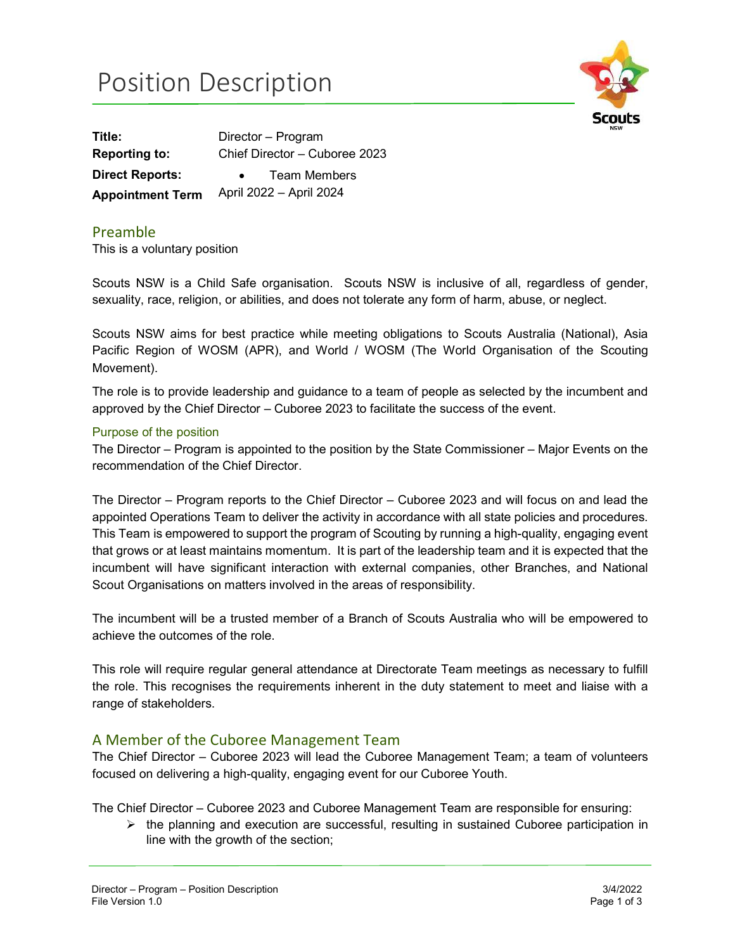# Position Description



Title: Director – Program Reporting to: Chief Director – Cuboree 2023 Direct Reports: • Team Members Appointment Term April 2022 – April 2024

#### Preamble

This is a voluntary position

Scouts NSW is a Child Safe organisation. Scouts NSW is inclusive of all, regardless of gender, sexuality, race, religion, or abilities, and does not tolerate any form of harm, abuse, or neglect.

Scouts NSW aims for best practice while meeting obligations to Scouts Australia (National), Asia Pacific Region of WOSM (APR), and World / WOSM (The World Organisation of the Scouting Movement).

The role is to provide leadership and guidance to a team of people as selected by the incumbent and approved by the Chief Director – Cuboree 2023 to facilitate the success of the event.

#### Purpose of the position

The Director – Program is appointed to the position by the State Commissioner – Major Events on the recommendation of the Chief Director.

The Director – Program reports to the Chief Director – Cuboree 2023 and will focus on and lead the appointed Operations Team to deliver the activity in accordance with all state policies and procedures. This Team is empowered to support the program of Scouting by running a high-quality, engaging event that grows or at least maintains momentum. It is part of the leadership team and it is expected that the incumbent will have significant interaction with external companies, other Branches, and National Scout Organisations on matters involved in the areas of responsibility.

The incumbent will be a trusted member of a Branch of Scouts Australia who will be empowered to achieve the outcomes of the role.

This role will require regular general attendance at Directorate Team meetings as necessary to fulfill the role. This recognises the requirements inherent in the duty statement to meet and liaise with a range of stakeholders.

#### A Member of the Cuboree Management Team

The Chief Director – Cuboree 2023 will lead the Cuboree Management Team; a team of volunteers focused on delivering a high-quality, engaging event for our Cuboree Youth.

The Chief Director – Cuboree 2023 and Cuboree Management Team are responsible for ensuring:

 $\triangleright$  the planning and execution are successful, resulting in sustained Cuboree participation in line with the growth of the section;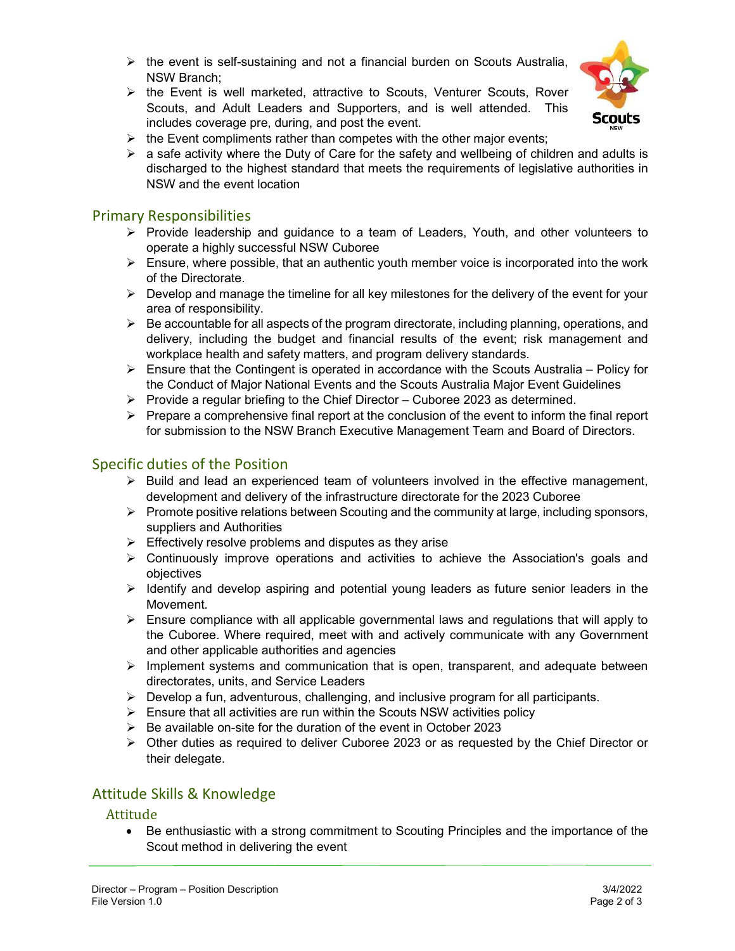- $\triangleright$  the event is self-sustaining and not a financial burden on Scouts Australia, NSW Branch;
- $\triangleright$  the Event is well marketed, attractive to Scouts, Venturer Scouts, Rover Scouts, and Adult Leaders and Supporters, and is well attended. This includes coverage pre, during, and post the event.



- $\triangleright$  the Event compliments rather than competes with the other major events;
- $\triangleright$  a safe activity where the Duty of Care for the safety and wellbeing of children and adults is discharged to the highest standard that meets the requirements of legislative authorities in NSW and the event location

#### Primary Responsibilities

- $\triangleright$  Provide leadership and guidance to a team of Leaders, Youth, and other volunteers to operate a highly successful NSW Cuboree
- $\triangleright$  Ensure, where possible, that an authentic youth member voice is incorporated into the work of the Directorate.
- $\triangleright$  Develop and manage the timeline for all key milestones for the delivery of the event for your area of responsibility.
- $\triangleright$  Be accountable for all aspects of the program directorate, including planning, operations, and delivery, including the budget and financial results of the event; risk management and workplace health and safety matters, and program delivery standards.
- $\triangleright$  Ensure that the Contingent is operated in accordance with the Scouts Australia Policy for the Conduct of Major National Events and the Scouts Australia Major Event Guidelines
- $\triangleright$  Provide a regular briefing to the Chief Director Cuboree 2023 as determined.
- $\triangleright$  Prepare a comprehensive final report at the conclusion of the event to inform the final report for submission to the NSW Branch Executive Management Team and Board of Directors.

#### Specific duties of the Position

- $\triangleright$  Build and lead an experienced team of volunteers involved in the effective management, development and delivery of the infrastructure directorate for the 2023 Cuboree
- $\triangleright$  Promote positive relations between Scouting and the community at large, including sponsors, suppliers and Authorities
- $\triangleright$  Effectively resolve problems and disputes as they arise
- $\triangleright$  Continuously improve operations and activities to achieve the Association's goals and objectives
- $\triangleright$  Identify and develop aspiring and potential young leaders as future senior leaders in the Movement.
- $\triangleright$  Ensure compliance with all applicable governmental laws and regulations that will apply to the Cuboree. Where required, meet with and actively communicate with any Government and other applicable authorities and agencies
- $\triangleright$  Implement systems and communication that is open, transparent, and adequate between directorates, units, and Service Leaders
- $\triangleright$  Develop a fun, adventurous, challenging, and inclusive program for all participants.
- $\triangleright$  Ensure that all activities are run within the Scouts NSW activities policy
- $\triangleright$  Be available on-site for the duration of the event in October 2023
- $\triangleright$  Other duties as required to deliver Cuboree 2023 or as requested by the Chief Director or their delegate.

#### Attitude Skills & Knowledge

## Attitude<br>Be

 Be enthusiastic with a strong commitment to Scouting Principles and the importance of the Scout method in delivering the event